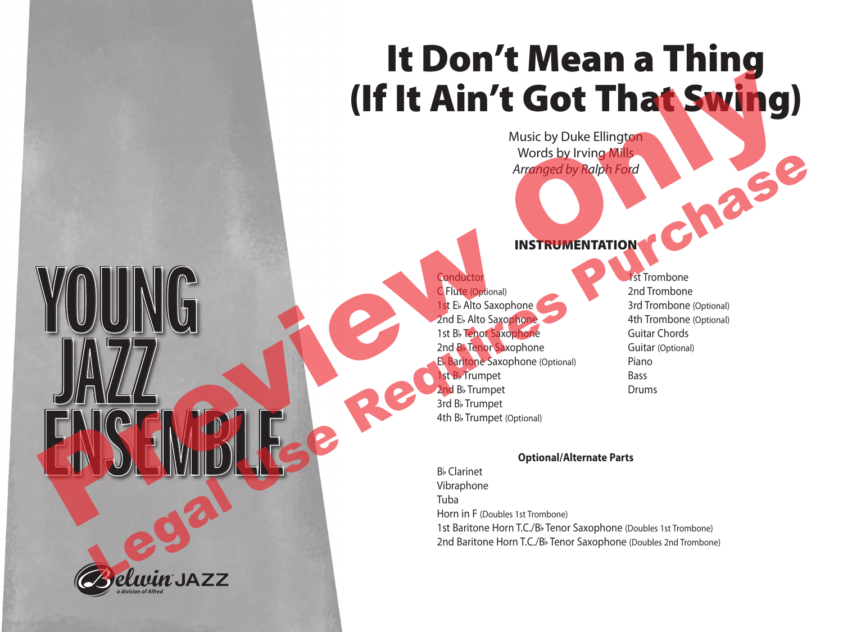# It Don't Mean a Thing (If It Ain't Got That Swing) ENSEMBLESCHELLER RECEPTION OF CHARLES CONTROLLER CONTROLLER CONTROLLER CONTROLLER CONTROLLER CONTROLLER CONTROLLER CONTROLLER CONTROLLER CONTROLLER CONTROLLER CONTROLLER CONTROLLER CONTROLLER CONTROLLER CONTROLLER CONTROLL

Music by Duke Ellington Words by Irving Mills *Arranged by Ralph Ford*

# **INSTRUMENTATION**

**Conductor** C Flute (Optional) 1st Eb Alto Saxophone 2nd Eb Alto Saxophone 1st B<sub>b</sub> Tenor Saxophone 2nd Bb Tenor Saxophone Eb Baritone Saxophone (Optional) 1st Bb Trumpet 2nd B<sub>b</sub> Trumpet 3rd Bb Trumpet 4th Bb Trumpet (Optional) Legal USE MBLE CREATIVE SCRIPTION CREATIVE CREATIVE SCRIPTION CREATIVE CREATIVE CREATIVE CREATIVE CREATIVE CREATIVE CREATIVE CREATIVE CREATIVE CREATIVE CREATIVE CREATIVE CREATIVE CREATIVE CREATIVE CREATIVE CREATIVE CREATIV

1st Trombone 2nd Trombone 3rd Trombone (Optional) 4th Trombone (Optional) Guitar Chords Guitar (Optional) Piano Bass Drums

### **Optional/Alternate Parts**

Bb Clarinet Vibraphone Tuba Horn in F (Doubles 1st Trombone) 1st Baritone Horn T.C./Bb Tenor Saxophone (Doubles 1st Trombone) 2nd Baritone Horn T.C./Bb Tenor Saxophone (Doubles 2nd Trombone)

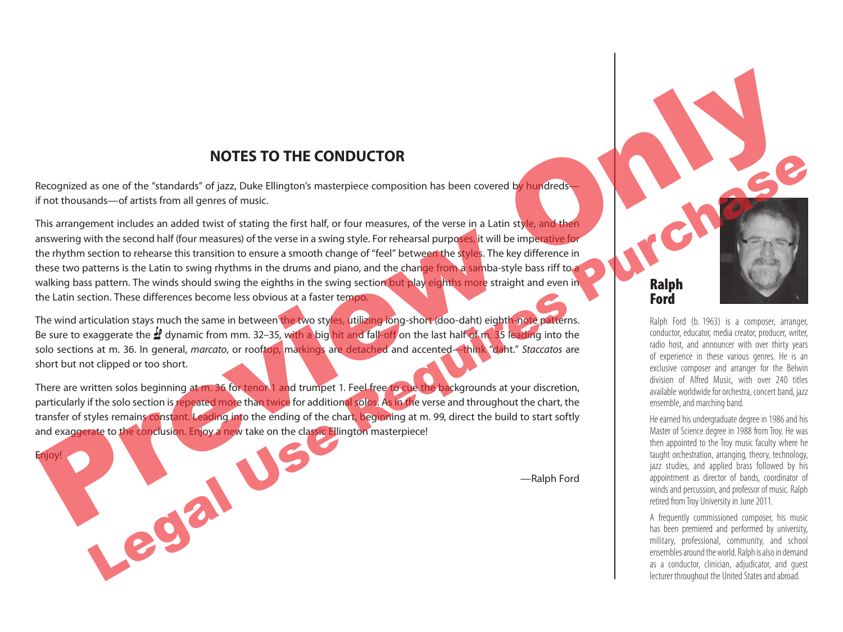## **NOTES TO THE CONDUCTOR**

Recognized as one of the "standards" of jazz, Duke Ellington's masterpiece composition has been covered by hundreds if not thousands—of artists from all genres of music.

This arrangement includes an added twist of stating the first half, or four measures, of the verse in a Latin style, and then answering with the second half (four measures) of the verse in a swing style. For rehearsal purposes, it will be imperative for the rhythm section to rehearse this transition to ensure a smooth change of "feel" between the styles. The key difference in these two patterns is the Latin to swing rhythms in the drums and piano, and the change from a samba-style bass riff to a walking bass pattern. The winds should swing the eighths in the swing section but play eighths more straight and even in the Latin section. These differences become less obvious at a faster tempo. MOTES TO THE CONDUCTOR<br>
MOTES TO THE CONDUCTOR<br>
The consequence in detailed as a collection of others in the United States and the United States and the United States and the United States and the United States and the Uni NOTES TO THE CONDUCTOR<br>
Some of the "standards" of jazz, but also the verse in a later score of the verse in a later scheme in contract the standard contract the standard contract the standard contract the standard contra

The wind articulation stays much the same in between the two styles, utilizing long-short (doo-daht) eighth-note patterns. Be sure to exaggerate the  $\mathcal{L}$  dynamic from mm. 32–35, with a big hit and fall-off on the last half of m. 35 leading into the solo sections at m. 36. In general, *marcato*, or rooftop, markings are detached and accented—think "daht." *Staccatos* are short but not clipped or too short.

There are written solos beginning at m. 36 for tenor 1 and trumpet 1. Feel free to cue the backgrounds at your discretion, particularly if the solo section is repeated more than twice for additional solos. As in the verse and throughout the chart, the transfer of styles remains constant. Leading into the ending of the chart, beginning at m. 99, direct the build to start softly and exaggerate to the conclusion. Enjoy a new take on the classic Ellington masterpiece!

Enjoy!

—Ralph Ford

# Ralph Ford

Ralph Ford (b. 1963) is a composer, arranger, conductor, educator, media creator, producer, writer, radio host, and announcer with over thirty years of experience in these various genres. He is an exclusive composer and arranger for the Belwin division of Alfred Music, with over 240 titles available worldwide for orchestra, concert band, jazz ensemble, and marching band.

He earned his undergraduate degree in 1986 and his Master of Science degree in 1988 from Troy. He was then appointed to the Troy music faculty where he taught orchestration, arranging, theory, technology, jazz studies, and applied brass followed by his appointment as director of bands, coordinator of winds and percussion, and professor of music. Ralph retired from Troy University in June 2011.

A frequently commissioned composer, his music has been premiered and performed by university, military, professional, community, and school ensembles around the world. Ralph is also in demand as a conductor, clinician, adjudicator, and guest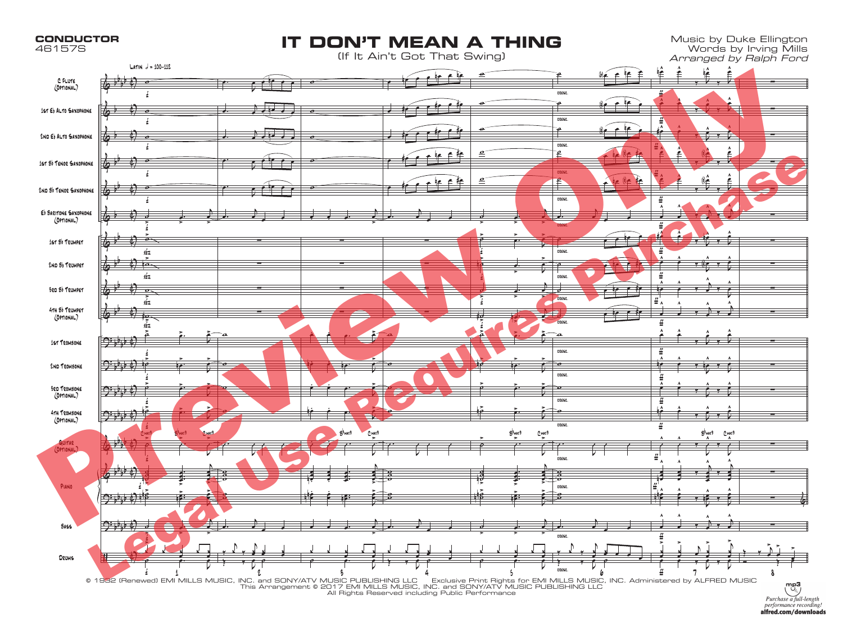



All Rights Reserved including Public Performance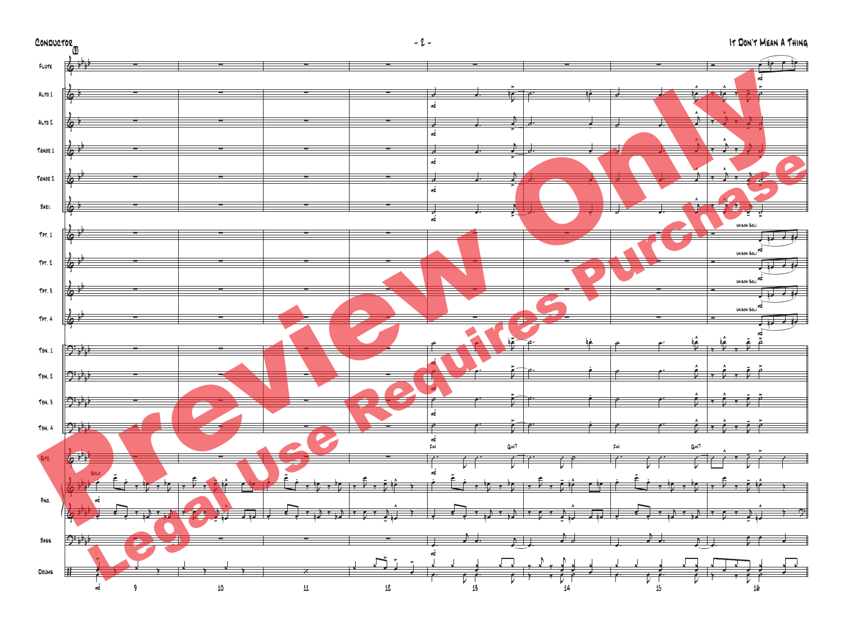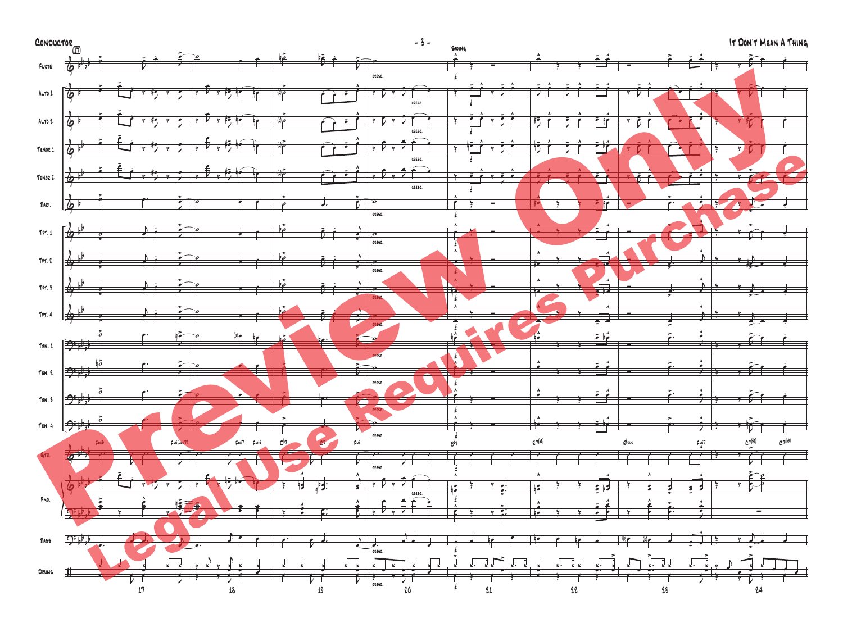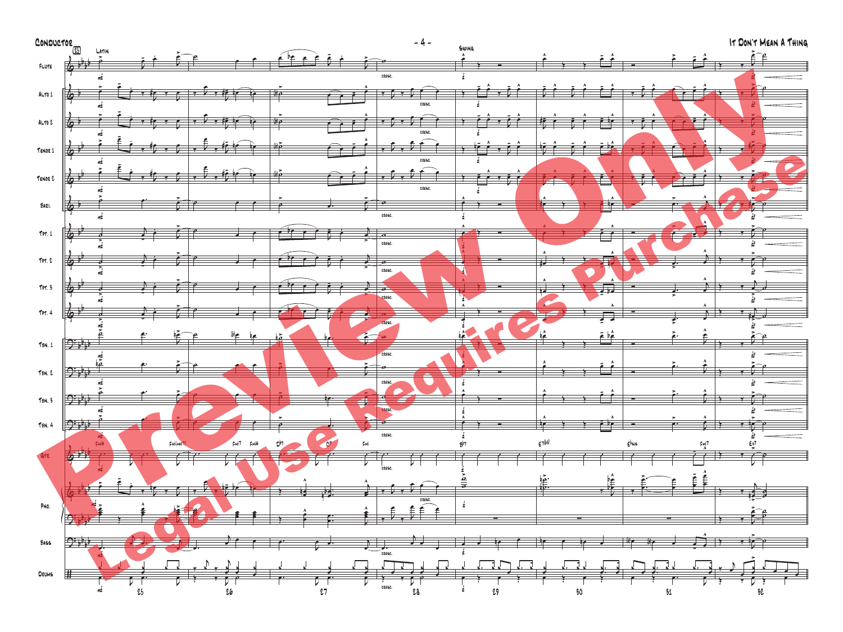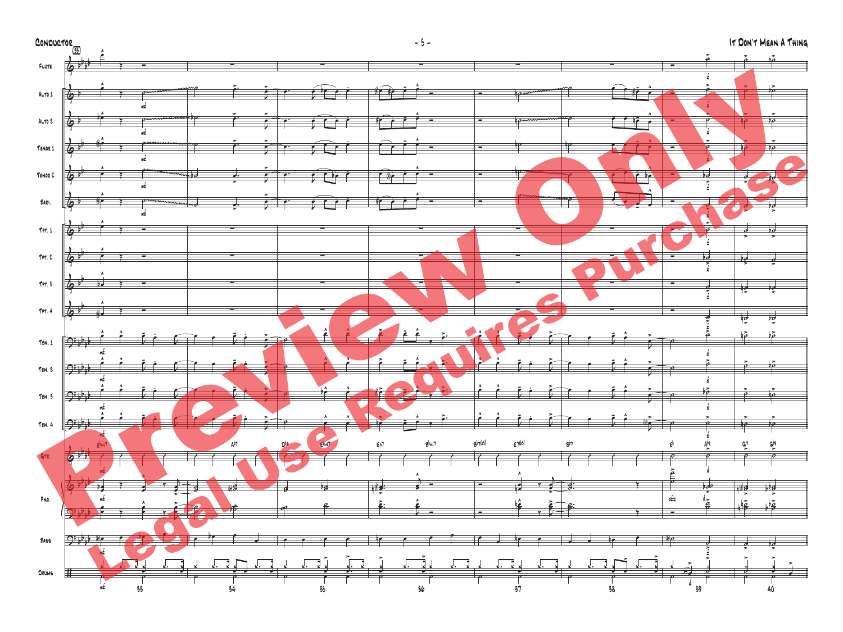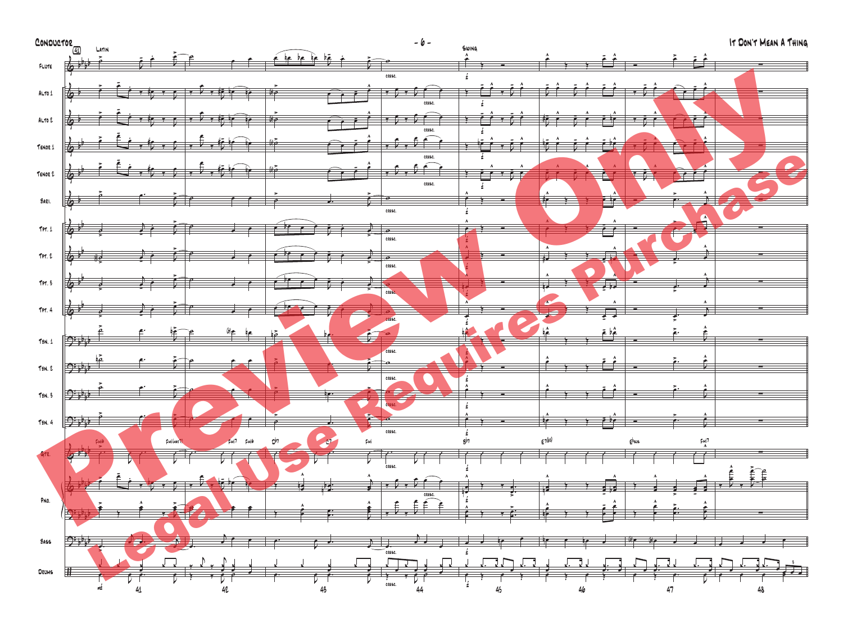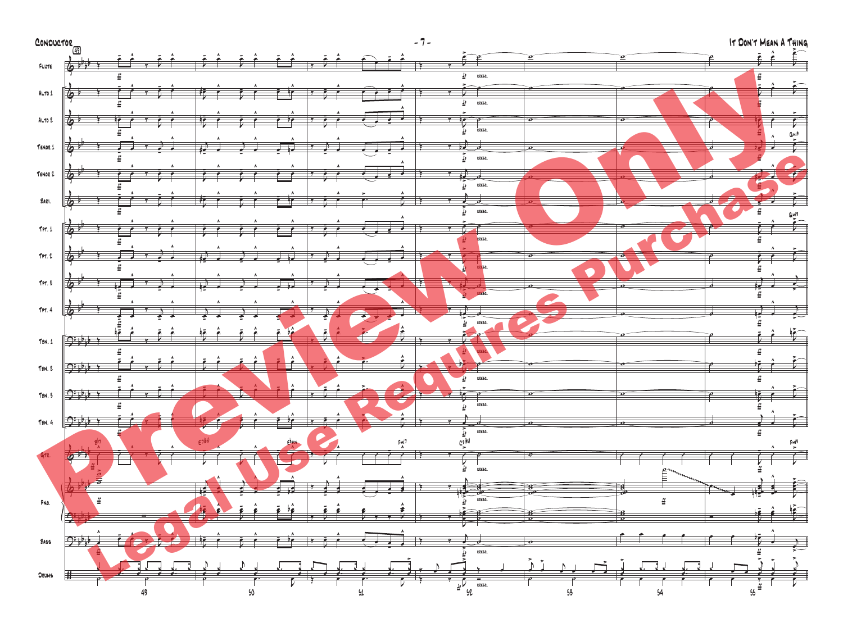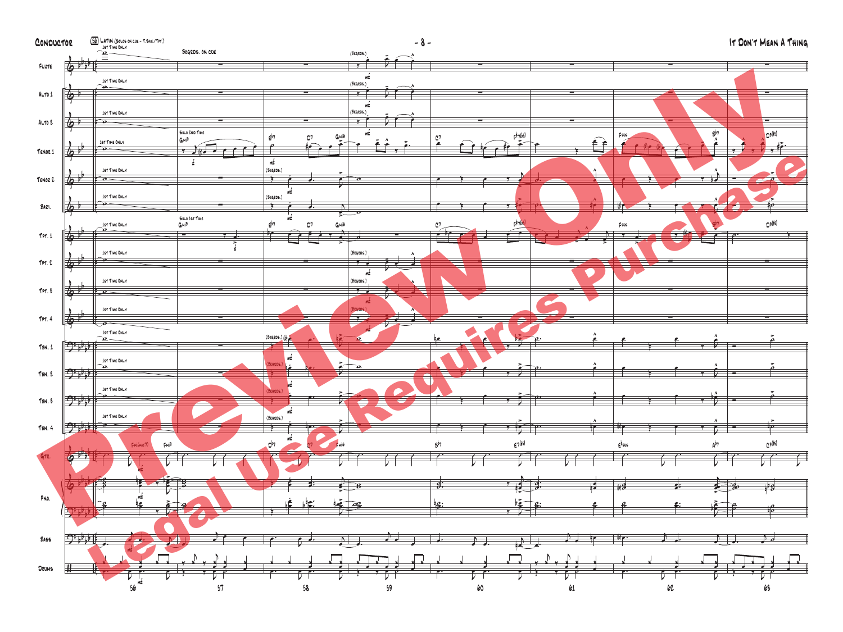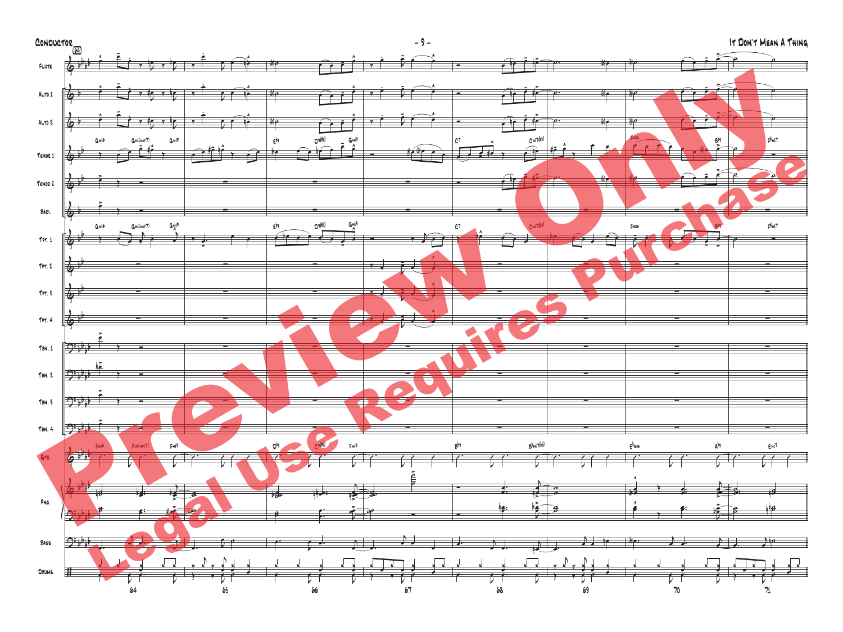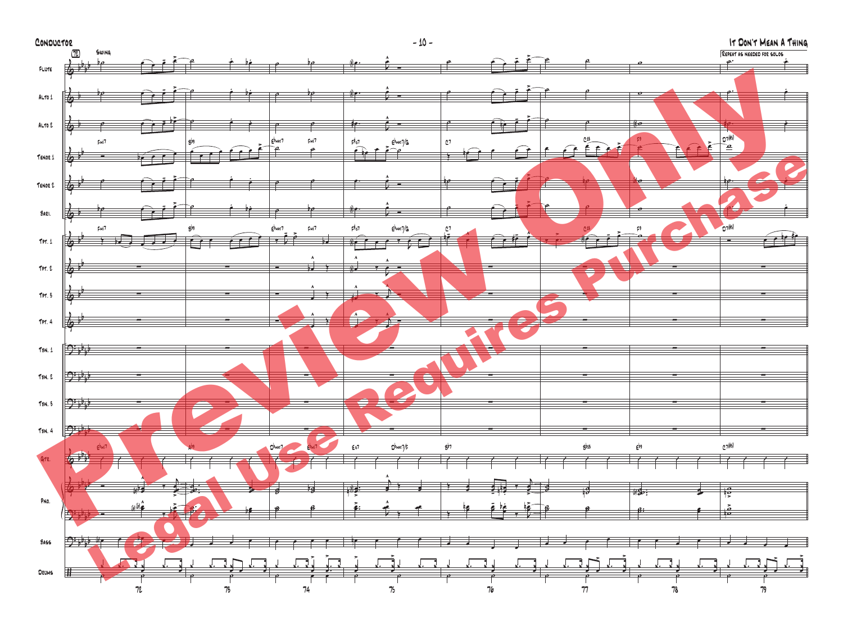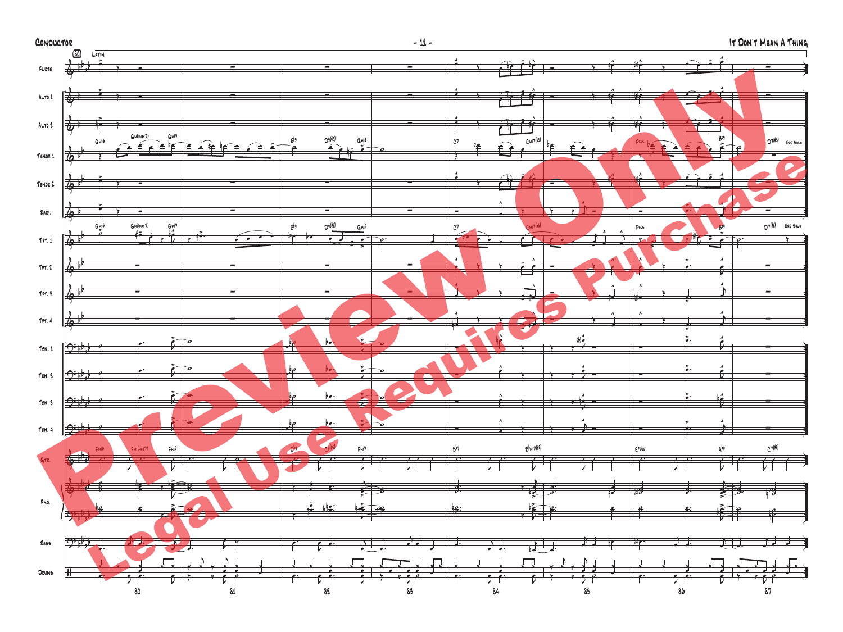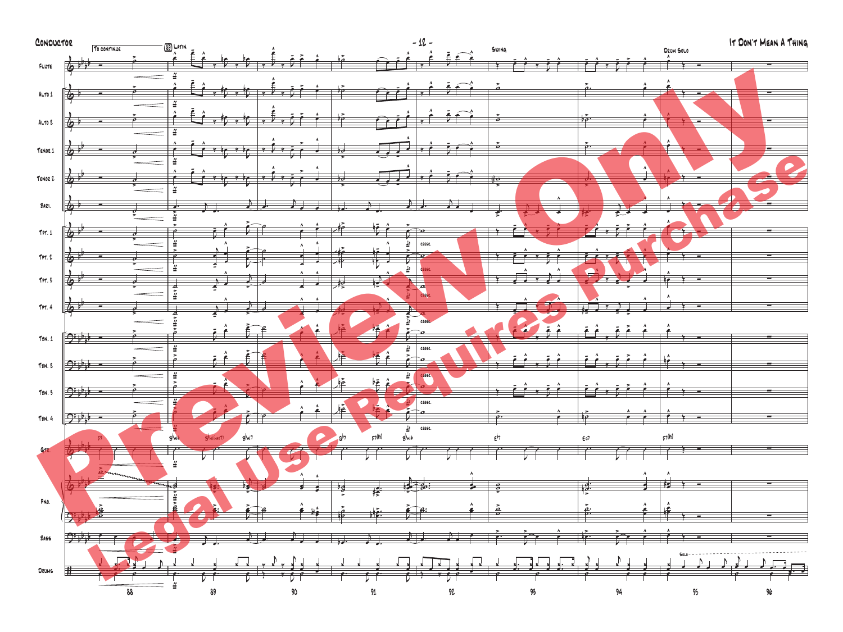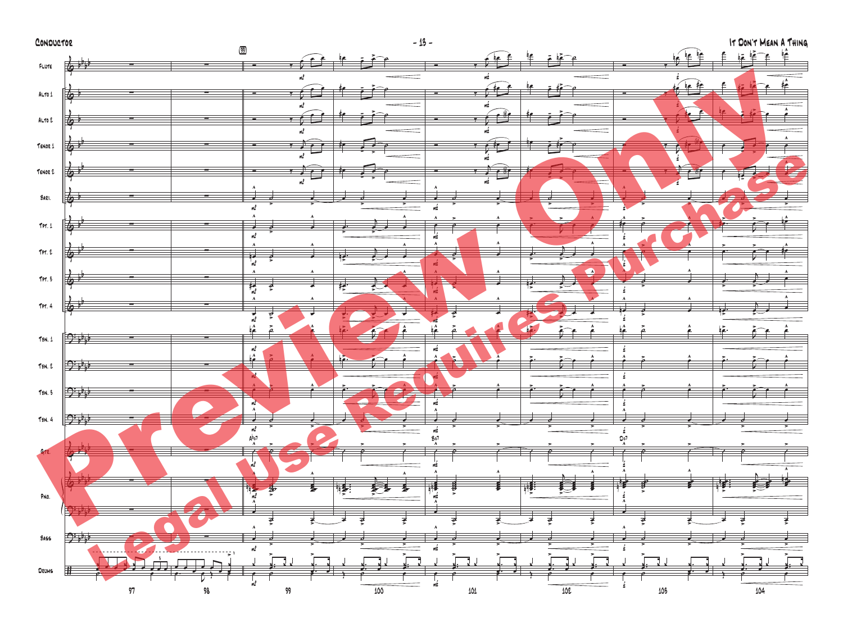